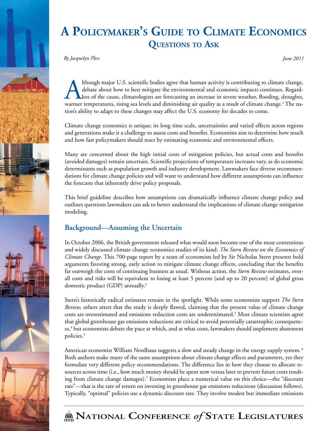

*By Jacquelyn Pless June 2011*

Ithough major U.S. scientific bodies agree that human activity is contributing to climate change,<br>debate about how to best mitigate the environmental and economic impacts continues. Regard-<br>less of the cause, climatologist debate about how to best mitigate the environmental and economic impacts continues. Regardless of the cause, climatologists are forecasting an increase in severe weather, flooding, droughts, warmer temperatures, rising sea levels and diminishing air quality as a result of climate change.<sup>1</sup> The nation's ability to adapt to these changes may affect the U.S. economy for decades to come.

Climate change economics is unique; its long time scale, uncertainties and varied effects across regions and generations make it a challenge to assess costs and benefits. Economists aim to determine how much and how fast policymakers should react by estimating economic and environmental effects.

Many are concerned about the high initial costs of mitigation policies, but actual costs and benefits (avoided damages) remain uncertain. Scientific projections of temperature increases vary, as do economic determinants such as population growth and industry development. Lawmakers face diverse recommendations for climate change policies and will want to understand how different assumptions can influence the forecasts that inherently drive policy proposals.

This brief guideline describes how assumptions can dramatically influence climate change policy and outlines questions lawmakers can ask to better understand the implications of climate change mitigation modeling.

## **Background—Assuming the Uncertain**

In October 2006, the British government released what would soon become one of the most contentious and widely discussed climate change economics studies of its kind: *The Stern Review on the Economics of Climate Change*. This 700-page report by a team of economists led by Sir Nicholas Stern presents bold arguments favoring strong, early action to mitigate climate change effects, concluding that the benefits far outweigh the costs of continuing business as usual. Without action, the *Stern Review* estimates, overall costs and risks will be equivalent to losing at least 5 percent (and up to 20 percent) of global gross domestic product (GDP) annually.2

Stern's historically radical estimates remain in the spotlight. While some economists support *The Stern Review,* others attest that the study is deeply flawed, claiming that the present value of climate change costs are overestimated and emissions reduction costs are underestimated.3 Most climate scientists agree that global greenhouse gas emissions reductions are critical to avoid potentially catastrophic consequences,<sup>4</sup> but economists debate the pace at which, and at what costs, lawmakers should implement abatement policies.5

American economist William Nordhaus suggests a slow and steady change in the energy supply system.<sup>6</sup> Both authors make many of the same assumptions about climate change effects and parameters, yet they formulate very different policy recommendations. The difference lies in how they choose to allocate resources across time (i.e., how much money should be spent now versus later to prevent future costs resulting from climate change damages).7 Economists place a numerical value on this choice—the "discount rate"—that is the rate of return on investing in greenhouse gas emissions reductions (discussion follows). Typically, "optimal" policies use a dynamic discount rate. They involve modest but immediate emissions

# **National Conference** *of* **State Legislatures**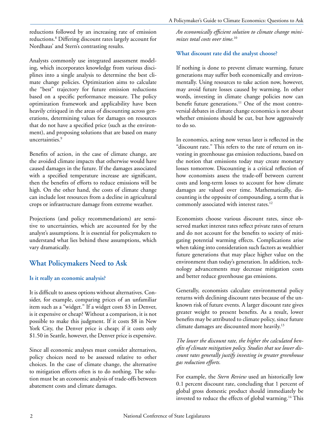reductions followed by an increasing rate of emission reductions.8 Differing discount rates largely account for Nordhaus' and Stern's contrasting results.

Analysts commonly use integrated assessment modeling, which incorporates knowledge from various disciplines into a single analysis to determine the best climate change policies. Optimization aims to calculate the "best" trajectory for future emission reductions based on a specific performance measure. The policy optimization framework and applicability have been heavily critiqued in the areas of discounting across generations, determining values for damages on resources that do not have a specified price (such as the environment), and proposing solutions that are based on many uncertainties.9

Benefits of action, in the case of climate change, are the avoided climate impacts that otherwise would have caused damages in the future. If the damages associated with a specified temperature increase are significant, then the benefits of efforts to reduce emissions will be high. On the other hand, the costs of climate change can include lost resources from a decline in agricultural crops or infrastructure damage from extreme weather.

Projections (and policy recommendations) are sensitive to uncertainties, which are accounted for by the analyst's assumptions. It is essential for policymakers to understand what lies behind these assumptions, which vary dramatically.

### **What Policymakers Need to Ask**

#### **Is it really an economic analysis?**

It is difficult to assess options without alternatives. Consider, for example, comparing prices of an unfamiliar item such as a "widget." If a widget costs \$3 in Denver, is it expensive or cheap? Without a comparison, it is not possible to make this judgment. If it costs \$8 in New York City, the Denver price is cheap; if it costs only \$1.50 in Seattle, however, the Denver price is expensive.

Since all economic analyses must consider alternatives, policy choices need to be assessed relative to other choices. In the case of climate change, the alternative to mitigation efforts often is to do nothing. The solution must be an economic analysis of trade-offs between abatement costs and climate damages.

*An economically efficient solution to climate change minimizes total costs over time.*<sup>10</sup>

#### **What discount rate did the analyst choose?**

If nothing is done to prevent climate warming, future generations may suffer both economically and environmentally. Using resources to take action now, however, may avoid future losses caused by warming. In other words, investing in climate change policies now can benefit future generations.<sup>11</sup> One of the most controversial debates in climate change economics is not about whether emissions should be cut, but how aggressively to do so.

In economics, acting now versus later is reflected in the "discount rate." This refers to the rate of return on investing in greenhouse gas emission reductions, based on the notion that emissions today may create monetary losses tomorrow. Discounting is a critical reflection of how economists assess the trade-off between current costs and long-term losses to account for how climate damages are valued over time. Mathematically, discounting is the opposite of compounding, a term that is commonly associated with interest rates.<sup>12</sup>

Economists choose various discount rates, since observed market interest rates reflect private rates of return and do not account for the benefits to society of mitigating potential warming effects. Complications arise when taking into consideration such factors as wealthier future generations that may place higher value on the environment than today's generation. In addition, technology advancements may decrease mitigation costs and better reduce greenhouse gas emissions.

Generally, economists calculate environmental policy returns with declining discount rates because of the unknown risk of future events. A larger discount rate gives greater weight to present benefits. As a result, lower benefits may be attributed to climate policy, since future climate damages are discounted more heavily.13

*The lower the discount rate, the higher the calculated benefits of climate mitigation policy. Studies that use lower discount rates generally justify investing in greater greenhouse gas reduction efforts.*

For example, the *Stern Review* used an historically low 0.1 percent discount rate, concluding that 1 percent of global gross domestic product should immediately be invested to reduce the effects of global warming.<sup>14</sup> This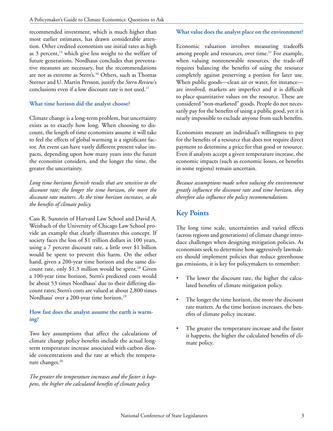recommended investment, which is much higher than most earlier estimates, has drawn considerable attention. Other credited economists use initial rates as high as 3 percent,<sup>15</sup> which give less weight to the welfare of future generations. Nordhaus concludes that preventative measures are necessary, but the recommendations are not as extreme as Stern's.16 Others, such as Thomas Sterner and U. Martin Persson, justify the *Stern Review*'s conclusions even if a low discount rate is not used.<sup>17</sup>

#### **What time horizon did the analyst choose?**

Climate change is a long-term problem, but uncertainty exists as to exactly how long. When choosing to discount, the length of time economists assume it will take to feel the effects of global warming is a significant factor. An event can have vastly different present value impacts, depending upon how many years into the future the economist considers, and the longer the time, the greater the uncertainty.

*Long time horizons furnish results that are sensitive to the discount rate; the longer the time horizon, the more the discount rate matters. As the time horizon increases, so do the benefits of climate policy.*

Cass R. Sunstein of Harvard Law School and David A. Weisbach of the University of Chicago Law School provide an example that clearly illustrates this concept. If society faces the loss of \$1 trillion dollars in 100 years, using a 7 percent discount rate, a little over \$1 billion would be spent to prevent this harm. On the other hand, given a 200-year time horizon and the same discount rate, only  $$1.3$  million would be spent.<sup>18</sup> Given a 100-year time horizon, Stern's predicted costs would be about 53 times Nordhaus' due to their differing discount rates; Stern's costs are valued at about 2,800 times Nordhaus' over a 200-year time horizon.<sup>19</sup>

#### **How fast does the analyst assume the earth is warming?**

Two key assumptions that affect the calculations of climate change policy benefits include the actual longterm temperature increase associated with carbon dioxide concentrations and the rate at which the temperature changes.<sup>20</sup>

*The greater the temperature increases and the faster it happens, the higher the calculated benefits of climate policy.*

#### **What value does the analyst place on the environment?**

Economic valuation involves measuring tradeoffs among people and resources, over time.<sup>21</sup> For example, when valuing nonrenewable resources, the trade-off requires balancing the benefits of using the resource completely against preserving a portion for later use. When public goods—clean air or water, for instance are involved, markets are imperfect and it is difficult to place quantitative values on the resource. These are considered "non-marketed" goods. People do not necessarily pay for the benefits of using a public good, yet it is nearly impossible to exclude anyone from such benefits.

Economists measure an individual's willingness to pay for the benefits of a resource that does not require direct payment to determine a price for that good or resource. Even if analysts accept a given temperature increase, the economic impacts (such as economic losses, or benefits in some regions) remain uncertain.

*Because assumptions made when valuing the environment greatly influence the discount rate and time horizon, they therefore also influence the policy recommendations.*

## **Key Points**

The long time scale, uncertainties and varied effects (across regions and generations) of climate change introduce challenges when designing mitigation policies. As economists seek to determine how aggressively lawmakers should implement policies that reduce greenhouse gas emissions, it is key for policymakers to remember:

- The lower the discount rate, the higher the calculated benefits of climate mitigation policy.
- The longer the time horizon, the more the discount rate matters. As the time horizon increases, the benefits of climate policy increase.
- The greater the temperature increase and the faster it happens, the higher the calculated benefits of climate policy.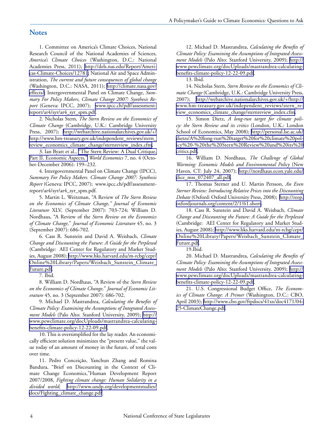#### **Notes**

1. Committee on America's Climate Choices, National Research Council of the National Academies of Sciences, *America's Climate Choices* (Washington, D.C.: National Academies Press, 2011); [http://dels.nas.edu/Report/Ameri](http://dels.nas.edu/Report/Americas-Climate-Choices/12781)[cas-Climate-Choices/12781;](http://dels.nas.edu/Report/Americas-Climate-Choices/12781) National Air and Space Administration, *The current and future consequences of global change* (Washington, D.C.: NASA, 2011); [http://climate.nasa.gov/](http://climate.nasa.gov/effects/) [effects/](http://climate.nasa.gov/effects/); Intergovernmental Panel on Climate Change, *Summary For Policy Makers, Climate Change 2007: Synthesis Report* (Geneva: IPCC, 2007); [www.ipcc.ch/pdf/assessment](http://www.ipcc.ch/pdf/assessment-report/ar4/syr/ar4_syr_spm.pdf)[report/ar4/syr/ar4\\_syr\\_spm.pdf.](http://www.ipcc.ch/pdf/assessment-report/ar4/syr/ar4_syr_spm.pdf)

2. Nicholas Stern, *The Stern Review on the Economics of Climate Change* (Cambridge, U.K.: Cambridge University Press, 2007); [http://webarchive.nationalarchives.gov.uk/+/](http://webarchive.nationalarchives.gov.uk/+/http://www.hm-treasury.gov.uk/independent_reviews/stern_review_economics_climate_change/sternreview_index.cfm) [http://www.hm-treasury.gov.uk/independent\\_reviews/stern\\_](http://webarchive.nationalarchives.gov.uk/+/http://www.hm-treasury.gov.uk/independent_reviews/stern_review_economics_climate_change/sternreview_index.cfm) [review\\_economics\\_climate\\_change/sternreview\\_index.cfm](http://webarchive.nationalarchives.gov.uk/+/http://www.hm-treasury.gov.uk/independent_reviews/stern_review_economics_climate_change/sternreview_index.cfm).

3. Ian Byatt et al., ["The Stern Review: A Dual Critique,](http://www.google.co.nz/url?sa=t&source=web&cd=1&ved=0CBUQFjAA&url=http%3A%2F%2Fmembers.iinet.net.au%2F~glrmc%2FWorld%2520Economics%2520-%2520Stern%2520Review%2C%2520Part%25201.pdf&ei=uHt1TaHJC4W8sQOunL3IBA&usg=AFQjCNFZVP89e-ZU2URaOb4Rt-d3Jw-MuQ)  [Part II. Economic Aspects,"](http://www.google.co.nz/url?sa=t&source=web&cd=1&ved=0CBUQFjAA&url=http%3A%2F%2Fmembers.iinet.net.au%2F~glrmc%2FWorld%2520Economics%2520-%2520Stern%2520Review%2C%2520Part%25201.pdf&ei=uHt1TaHJC4W8sQOunL3IBA&usg=AFQjCNFZVP89e-ZU2URaOb4Rt-d3Jw-MuQ) *World Economics* 7, no. 4 (October-December 2006): 199–232.

4. Intergovernmental Panel on Climate Change (IPCC), *Summary For Policy Makers. Climate Change 2007: Synthesis Report* (Geneva: IPCC, 2007); www.ipcc.ch/pdf/assessmentreport/ar4/syr/ar4\_syr\_spm.pdf.

5. Martin L. Weitzman, "A Review of *The Stern Review on the Economics of Climate Change," Journal of Economic Literature* XLV, (September 2007): 703-724; William D. Nordhaus, "A Review of the *Stern Review on the Economics of Climate Change,*" *Journal of Economic Literature* 45, no. 3 (September 2007): 686-702.

6. Cass R. Sunstein and David A. Weisbach, *Climate Change and Discounting the Future: A Guide for the Perplexed*  (Cambridge: AEI Center for Regulatory and Market Studies, August 2008); [http://www.hks.harvard.edu/m-rcbg/cepr/](http://www.hks.harvard.edu/m-rcbg/cepr/Online Library/Papers/Weisbach_Sunstein_Climate_Future.pdf) [Online%20Library/Papers/Weisbach\\_Sunstein\\_Climate\\_](http://www.hks.harvard.edu/m-rcbg/cepr/Online Library/Papers/Weisbach_Sunstein_Climate_Future.pdf) [Future.pdf](http://www.hks.harvard.edu/m-rcbg/cepr/Online Library/Papers/Weisbach_Sunstein_Climate_Future.pdf).

7. Ibid.

8. William D. Nordhaus, "A Review of the *Stern Review on the Economics of Climate Change,*" *Journal of Economic Literature* 45, no. 3 (September 2007): 686-702.

9. Michael D. Mastrandrea, *Calculating the Benefits of Climate Policy: Examining the Assumptions of Integrated Assessment Models* (Palo Alto: Stanford University, 2009); [http://](http://www.pewclimate.org/docUploads/mastrandrea-calculating-benefits-climate-policy-12-22-09.pdf) [www.pewclimate.org/docUploads/mastrandrea-calculating](http://www.pewclimate.org/docUploads/mastrandrea-calculating-benefits-climate-policy-12-22-09.pdf)[benefits-climate-policy-12-22-09.pdf](http://www.pewclimate.org/docUploads/mastrandrea-calculating-benefits-climate-policy-12-22-09.pdf).

10. This is oversimplified for the lay reader. An economically efficient solution minimizes the "present value," the value today of an amount of money in the future, of total costs over time.

11. Pedro Conceição, Yanchun Zhang and Romina Bandura, "Brief on Discounting in the Context of Climate Change Economics,"Human Development Report 2007/2008, *Fighting climate change: Human Solidarity in a divided world*; [http://www.undp.org/developmentstudies/](http://www.undp.org/developmentstudies/docs/Fighting_climate_change.pdf) [docs/Fighting\\_climate\\_change.pdf](http://www.undp.org/developmentstudies/docs/Fighting_climate_change.pdf)

12. Michael D. Mastrandrea, *Calculating the Benefits of Climate Policy: Examining the Assumptions of Integrated Assessment Models* (Palo Alto: Stanford University, 2009); [http://](http://www.pewclimate.org/docUploads/mastrandrea-calculating-benefits-climate-policy-12-22-09.pdf) [www.pewclimate.org/docUploads/mastrandrea-calculating](http://www.pewclimate.org/docUploads/mastrandrea-calculating-benefits-climate-policy-12-22-09.pdf)[benefits-climate-policy-12-22-09.pdf](http://www.pewclimate.org/docUploads/mastrandrea-calculating-benefits-climate-policy-12-22-09.pdf).

13. Ibid.

14. Nicholas Stern, *Stern Review on the Economics of Climate Change* (Cambridge, U.K.: Cambridge University Press, 2007); [http://webarchive.nationalarchives.gov.uk/+/http://](http://webarchive.nationalarchives.gov.uk/+/http://www.hm-treasury.gov.uk/independent_reviews/stern_review_economics_climate_change/sternreview_index.cfm) [www.hm-treasury.gov.uk/independent\\_reviews/stern\\_re](http://webarchive.nationalarchives.gov.uk/+/http://www.hm-treasury.gov.uk/independent_reviews/stern_review_economics_climate_change/sternreview_index.cfm)[view\\_economics\\_climate\\_change/sternreview\\_index.cfm](http://webarchive.nationalarchives.gov.uk/+/http://www.hm-treasury.gov.uk/independent_reviews/stern_review_economics_climate_change/sternreview_index.cfm).

15. Simon Dietz, *A long-run target for climate policy: the Stern Review and its critics* (London, U.K.: London School of Economics, May 2008); [http://personal.lse.ac.uk/](http://personal.lse.ac.uk/dietzs/A long-run target for climate policy - the Stern Review and its critics.pdf) [dietzs/A%20long-run%20target%20for%20climate%20pol](http://personal.lse.ac.uk/dietzs/A long-run target for climate policy - the Stern Review and its critics.pdf)[icy%20-%20the%20Stern%20Review%20and%20its%20](http://personal.lse.ac.uk/dietzs/A long-run target for climate policy - the Stern Review and its critics.pdf) [critics.pdf](http://personal.lse.ac.uk/dietzs/A long-run target for climate policy - the Stern Review and its critics.pdf).

16. William D. Nordhaus, *The Challenge of Global Warming: Economic Models and Environmental Policy* (New Haven, CT: July 24, 2007); [http://nordhaus.econ.yale.edu/](http://nordhaus.econ.yale.edu/dice_mss_072407_all.pdf) [dice\\_mss\\_072407\\_all.pdf](http://nordhaus.econ.yale.edu/dice_mss_072407_all.pdf).

17. Thomas Sterner and U. Martin Persson, *An Even Sterner Review: Introducing Relative Prices into the Discounting Debate* (Oxford: Oxford University Press, 2008);[http://reep.](http://reep.oxfordjournals.org/content/2/1/61.short) [oxfordjournals.org/content/2/1/61.short.](http://reep.oxfordjournals.org/content/2/1/61.short)

18. Cass R. Sunstein and David A. Weisbach, *Climate Change and Discounting the Future: A Guide for the Perplexed*  (Cambridge: AEI Center for Regulatory and Market Studies, August 2008); [http://www.hks.harvard.edu/m-rcbg/cepr/](http://www.hks.harvard.edu/m-rcbg/cepr/Online Library/Papers/Weisbach_Sunstein_Climate_Future.pdf) [Online%20Library/Papers/Weisbach\\_Sunstein\\_Climate\\_](http://www.hks.harvard.edu/m-rcbg/cepr/Online Library/Papers/Weisbach_Sunstein_Climate_Future.pdf) [Future.pdf](http://www.hks.harvard.edu/m-rcbg/cepr/Online Library/Papers/Weisbach_Sunstein_Climate_Future.pdf).

19.Ibid.

20. Michael D. Mastrandrea, *Calculating the Benefits of Climate Policy: Examining the Assumptions of Integrated Assessment Models* (Palo Alto: Stanford University, 2009); [http://](http://www.pewclimate.org/docUploads/mastrandrea-calculating-benefits-climate-policy-12-22-09.pdf) [www.pewclimate.org/docUploads/mastrandrea-calculating](http://www.pewclimate.org/docUploads/mastrandrea-calculating-benefits-climate-policy-12-22-09.pdf)[benefits-climate-policy-12-22-09.pdf](http://www.pewclimate.org/docUploads/mastrandrea-calculating-benefits-climate-policy-12-22-09.pdf).

21. U.S. Congressional Budget Office, *The Economics of Climate Change: A Primer* (Washington, D.C.: CBO, April 2003); [http://www.cbo.gov/ftpdocs/41xx/doc4171/04-](http://www.cbo.gov/ftpdocs/41xx/doc4171/04-25-ClimateChange.pdf) [25-ClimateChange.pdf](http://www.cbo.gov/ftpdocs/41xx/doc4171/04-25-ClimateChange.pdf).